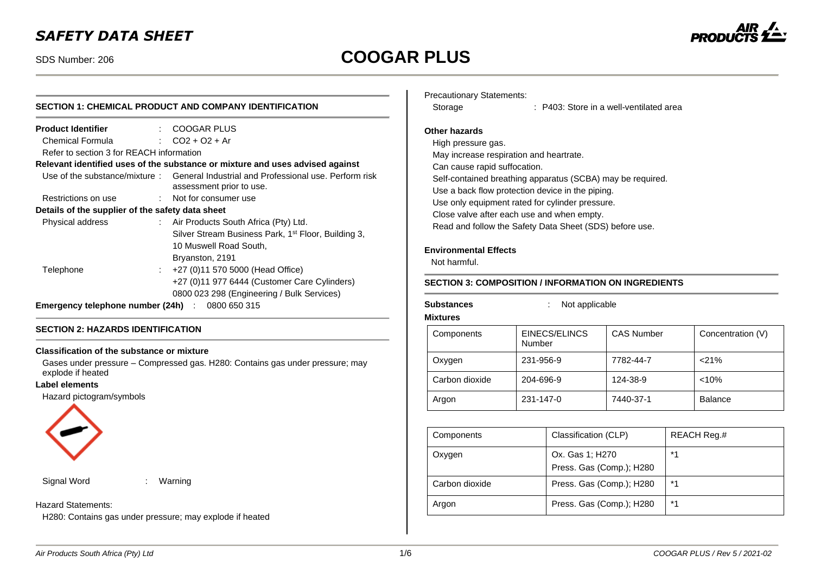## *SAFETY DATA SHEET*

# SDS Number: 206 **COOGAR PLUS**



### **SECTION 1: CHEMICAL PRODUCT AND COMPANY IDENTIFICATION**

| <b>Product Identifier</b>                                         | : COOGAR PLUS                                                                                                   |
|-------------------------------------------------------------------|-----------------------------------------------------------------------------------------------------------------|
| Chemical Formula                                                  | $CO2 + O2 + Ar$                                                                                                 |
| Refer to section 3 for REACH information                          |                                                                                                                 |
|                                                                   | Relevant identified uses of the substance or mixture and uses advised against                                   |
|                                                                   | Use of the substance/mixture: General Industrial and Professional use. Perform risk<br>assessment prior to use. |
| Restrictions on use                                               | : Not for consumer use                                                                                          |
| Details of the supplier of the safety data sheet                  |                                                                                                                 |
| Physical address                                                  | : Air Products South Africa (Pty) Ltd.                                                                          |
|                                                                   | Silver Stream Business Park, 1 <sup>st</sup> Floor, Building 3,                                                 |
|                                                                   | 10 Muswell Road South,                                                                                          |
|                                                                   | Bryanston, 2191                                                                                                 |
| Telephone                                                         | $\div$ +27 (0)11 570 5000 (Head Office)                                                                         |
|                                                                   | +27 (0)11 977 6444 (Customer Care Cylinders)                                                                    |
|                                                                   | 0800 023 298 (Engineering / Bulk Services)                                                                      |
| <b>Emergency telephone number (24h)</b> $\therefore$ 0800 650 315 |                                                                                                                 |

#### **SECTION 2: HAZARDS IDENTIFICATION**

#### **Classification of the substance or mixture**

Gases under pressure – Compressed gas. H280: Contains gas under pressure; may explode if heated

#### **Label elements**

Hazard pictogram/symbols



Signal Word : Warning

#### Hazard Statements:

H280: Contains gas under pressure; may explode if heated

#### Precautionary Statements:

ge : P403: Store in a well-ventilated area

#### **Other hazards**

High pressure gas. May increase respiration and heartrate. Can cause rapid suffocation. Self-contained breathing apparatus (SCBA) may be required. Use a back flow protection device in the piping. Use only equipment rated for cylinder pressure. Close valve after each use and when empty. Read and follow the Safety Data Sheet (SDS) before use.

#### **Environmental Effects**

Not harmful.

#### **SECTION 3: COMPOSITION / INFORMATION ON INGREDIENTS**

**Substances** : Not applicable

#### **Mixtures**

Components EINECS/ELINCS Number CAS Number | Concentration (V) Oxygen 231-956-9 7782-44-7 <21% Carbon dioxide 204-696-9 124-38-9 <10% Argon 231-147-0 7440-37-1 Balance

| Components     | Classification (CLP)                        | REACH Reg.# |
|----------------|---------------------------------------------|-------------|
| Oxygen         | Ox. Gas 1; H270<br>Press. Gas (Comp.); H280 | $*1$        |
| Carbon dioxide | Press. Gas (Comp.); H280                    | $*1$        |
| Argon          | Press. Gas (Comp.); H280                    | $*1$        |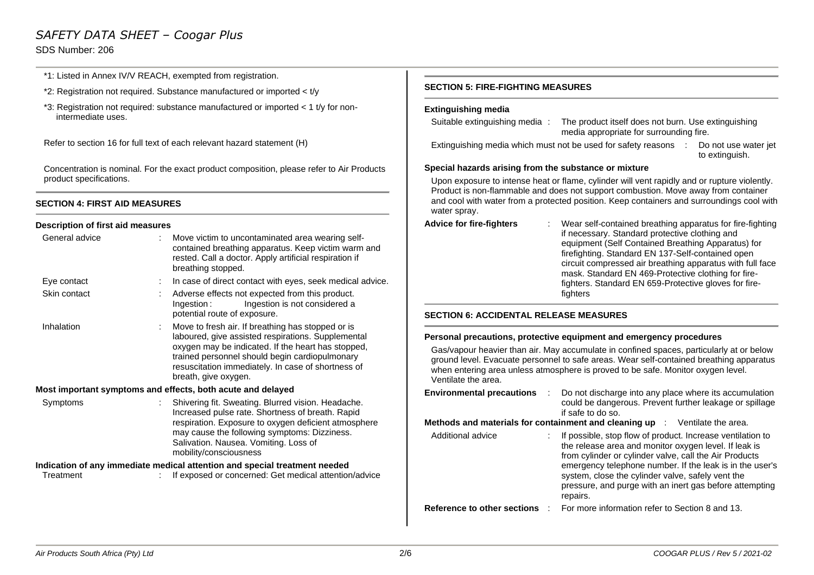## *SAFETY DATA SHEET – Coogar Plus*

SDS Number: 206

\*1: Listed in Annex IV/V REACH, exempted from registration.

- \*2: Registration not required. Substance manufactured or imported < t/y
- \*3: Registration not required: substance manufactured or imported < 1 t/y for nonintermediate uses.

Refer to section 16 for full text of each relevant hazard statement (H)

Concentration is nominal. For the exact product composition, please refer to Air Products product specifications.

#### **SECTION 4: FIRST AID MEASURES**

#### **Description of first aid measures**

| General advice | Move victim to uncontaminated area wearing self-<br>÷<br>contained breathing apparatus. Keep victim warm and<br>rested. Call a doctor. Apply artificial respiration if<br>breathing stopped.                                                                                                  |
|----------------|-----------------------------------------------------------------------------------------------------------------------------------------------------------------------------------------------------------------------------------------------------------------------------------------------|
| Eye contact    | In case of direct contact with eyes, seek medical advice.                                                                                                                                                                                                                                     |
| Skin contact   | Adverse effects not expected from this product.<br>Ingestion is not considered a<br>Ingestion:<br>potential route of exposure.                                                                                                                                                                |
| Inhalation     | Move to fresh air. If breathing has stopped or is<br>laboured, give assisted respirations. Supplemental<br>oxygen may be indicated. If the heart has stopped,<br>trained personnel should begin cardiopulmonary<br>resuscitation immediately. In case of shortness of<br>breath, give oxygen. |
|                | Most important symptoms and effects, both acute and delayed                                                                                                                                                                                                                                   |
| Symptoms       | Shivering fit. Sweating. Blurred vision. Headache.<br>Increased pulse rate. Shortness of breath. Rapid<br>respiration. Exposure to oxygen deficient atmosphere<br>may cause the following symptoms: Dizziness.<br>Salivation. Nausea. Vomiting. Loss of<br>mobility/consciousness             |
|                | Indication of any immediate medical attention and special treatment needed                                                                                                                                                                                                                    |
| Treatment      | If exposed or concerned: Get medical attention/advice                                                                                                                                                                                                                                         |
|                |                                                                                                                                                                                                                                                                                               |

#### **SECTION 5: FIRE-FIGHTING MEASURES**

#### **Extinguishing media**

| Suitable extinguishing media:                                 | The product itself does not burn. Use extinguishing<br>media appropriate for surrounding fire. |                                        |
|---------------------------------------------------------------|------------------------------------------------------------------------------------------------|----------------------------------------|
| Extinguishing media which must not be used for safety reasons |                                                                                                | Do not use water jet<br>to extinguish. |

#### **Special hazards arising from the substance or mixture**

Upon exposure to intense heat or flame, cylinder will vent rapidly and or rupture violently. Product is non-flammable and does not support combustion. Move away from container and cool with water from a protected position. Keep containers and surroundings cool with water spray.

#### **SECTION 6: ACCIDENTAL RELEASE MEASURES**

| Personal precautions, protective equipment and emergency procedures                                                                                                                                                                                                                            |                                                                                                                                                                                                                                                                                                                                                                       |  |  |  |  |  |
|------------------------------------------------------------------------------------------------------------------------------------------------------------------------------------------------------------------------------------------------------------------------------------------------|-----------------------------------------------------------------------------------------------------------------------------------------------------------------------------------------------------------------------------------------------------------------------------------------------------------------------------------------------------------------------|--|--|--|--|--|
| Gas/vapour heavier than air. May accumulate in confined spaces, particularly at or below<br>ground level. Evacuate personnel to safe areas. Wear self-contained breathing apparatus<br>when entering area unless atmosphere is proved to be safe. Monitor oxygen level.<br>Ventilate the area. |                                                                                                                                                                                                                                                                                                                                                                       |  |  |  |  |  |
| <b>Environmental precautions</b><br>$\mathcal{L}_{\rm{max}}$                                                                                                                                                                                                                                   | Do not discharge into any place where its accumulation<br>could be dangerous. Prevent further leakage or spillage<br>if safe to do so.                                                                                                                                                                                                                                |  |  |  |  |  |
| Methods and materials for containment and cleaning up : Ventilate the area.                                                                                                                                                                                                                    |                                                                                                                                                                                                                                                                                                                                                                       |  |  |  |  |  |
| Additional advice                                                                                                                                                                                                                                                                              | If possible, stop flow of product. Increase ventilation to<br>the release area and monitor oxygen level. If leak is<br>from cylinder or cylinder valve, call the Air Products<br>emergency telephone number. If the leak is in the user's<br>system, close the cylinder valve, safely vent the<br>pressure, and purge with an inert gas before attempting<br>repairs. |  |  |  |  |  |
| Reference to other sections :                                                                                                                                                                                                                                                                  | For more information refer to Section 8 and 13.                                                                                                                                                                                                                                                                                                                       |  |  |  |  |  |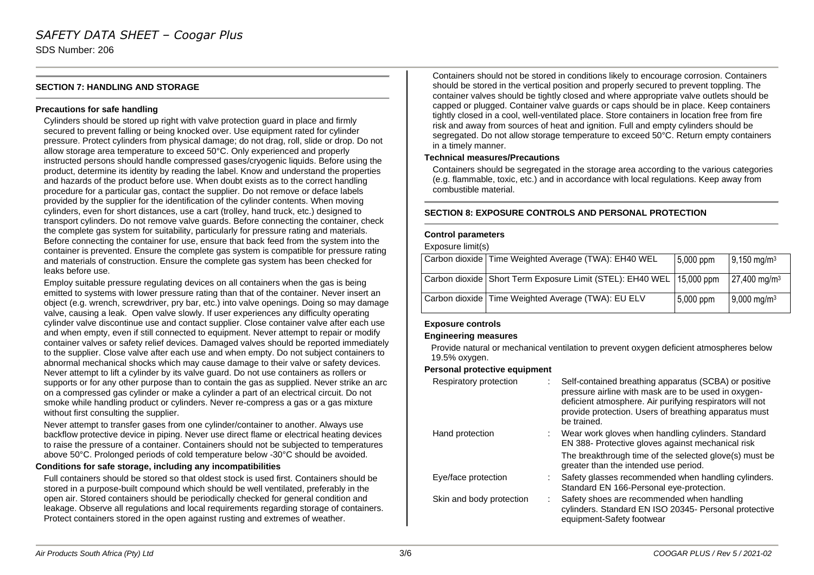#### **SECTION 7: HANDLING AND STORAGE**

#### **Precautions for safe handling**

Cylinders should be stored up right with valve protection guard in place and firmly secured to prevent falling or being knocked over. Use equipment rated for cylinder pressure. Protect cylinders from physical damage; do not drag, roll, slide or drop. Do not allow storage area temperature to exceed 50°C. Only experienced and properly instructed persons should handle compressed gases/cryogenic liquids. Before using the product, determine its identity by reading the label. Know and understand the properties and hazards of the product before use. When doubt exists as to the correct handling procedure for a particular gas, contact the supplier. Do not remove or deface labels provided by the supplier for the identification of the cylinder contents. When moving cylinders, even for short distances, use a cart (trolley, hand truck, etc.) designed to transport cylinders. Do not remove valve guards. Before connecting the container, check the complete gas system for suitability, particularly for pressure rating and materials. Before connecting the container for use, ensure that back feed from the system into the container is prevented. Ensure the complete gas system is compatible for pressure rating and materials of construction. Ensure the complete gas system has been checked for leaks before use.

Employ suitable pressure regulating devices on all containers when the gas is being emitted to systems with lower pressure rating than that of the container. Never insert an object (e.g. wrench, screwdriver, pry bar, etc.) into valve openings. Doing so may damage valve, causing a leak. Open valve slowly. If user experiences any difficulty operating cylinder valve discontinue use and contact supplier. Close container valve after each use and when empty, even if still connected to equipment. Never attempt to repair or modify container valves or safety relief devices. Damaged valves should be reported immediately to the supplier. Close valve after each use and when empty. Do not subject containers to abnormal mechanical shocks which may cause damage to their valve or safety devices. Never attempt to lift a cylinder by its valve guard. Do not use containers as rollers or supports or for any other purpose than to contain the gas as supplied. Never strike an arc on a compressed gas cylinder or make a cylinder a part of an electrical circuit. Do not smoke while handling product or cylinders. Never re-compress a gas or a gas mixture without first consulting the supplier.

Never attempt to transfer gases from one cylinder/container to another. Always use backflow protective device in piping. Never use direct flame or electrical heating devices to raise the pressure of a container. Containers should not be subjected to temperatures above 50°C. Prolonged periods of cold temperature below -30°C should be avoided.

#### **Conditions for safe storage, including any incompatibilities**

Full containers should be stored so that oldest stock is used first. Containers should be stored in a purpose-built compound which should be well ventilated, preferably in the open air. Stored containers should be periodically checked for general condition and leakage. Observe all regulations and local requirements regarding storage of containers. Protect containers stored in the open against rusting and extremes of weather.

Containers should not be stored in conditions likely to encourage corrosion. Containers should be stored in the vertical position and properly secured to prevent toppling. The container valves should be tightly closed and where appropriate valve outlets should be capped or plugged. Container valve guards or caps should be in place. Keep containers tightly closed in a cool, well-ventilated place. Store containers in location free from fire risk and away from sources of heat and ignition. Full and empty cylinders should be segregated. Do not allow storage temperature to exceed 50°C. Return empty containers in a timely manner.

#### **Technical measures/Precautions**

Containers should be segregated in the storage area according to the various categories (e.g. flammable, toxic, etc.) and in accordance with local regulations. Keep away from combustible material.

#### **SECTION 8: EXPOSURE CONTROLS AND PERSONAL PROTECTION**

#### **Control parameters**

Exposure limit(s)

| Carbon dioxide Time Weighted Average (TWA): EH40 WEL                     | 5,000 ppm | 9,150 mg/m <sup>3</sup>    |
|--------------------------------------------------------------------------|-----------|----------------------------|
| Carbon dioxide   Short Term Exposure Limit (STEL): EH40 WEL   15,000 ppm |           | $27,400$ mg/m <sup>3</sup> |
| Carbon dioxide   Time Weighted Average (TWA): EU ELV                     | 5,000 ppm | $9,000 \text{ mg/m}^3$     |

#### **Exposure controls**

#### **Engineering measures**

Provide natural or mechanical ventilation to prevent oxygen deficient atmospheres below 19.5% oxygen.

#### **Personal protective equipment**

| Respiratory protection   | Self-contained breathing apparatus (SCBA) or positive<br>pressure airline with mask are to be used in oxygen-<br>deficient atmosphere. Air purifying respirators will not<br>provide protection. Users of breathing apparatus must<br>be trained. |
|--------------------------|---------------------------------------------------------------------------------------------------------------------------------------------------------------------------------------------------------------------------------------------------|
| Hand protection          | : Wear work gloves when handling cylinders. Standard<br>EN 388- Protective gloves against mechanical risk                                                                                                                                         |
|                          | The breakthrough time of the selected glove(s) must be<br>greater than the intended use period.                                                                                                                                                   |
| Eye/face protection      | Safety glasses recommended when handling cylinders.<br>Standard EN 166-Personal eye-protection.                                                                                                                                                   |
| Skin and body protection | Safety shoes are recommended when handling<br>cylinders. Standard EN ISO 20345- Personal protective<br>equipment-Safety footwear                                                                                                                  |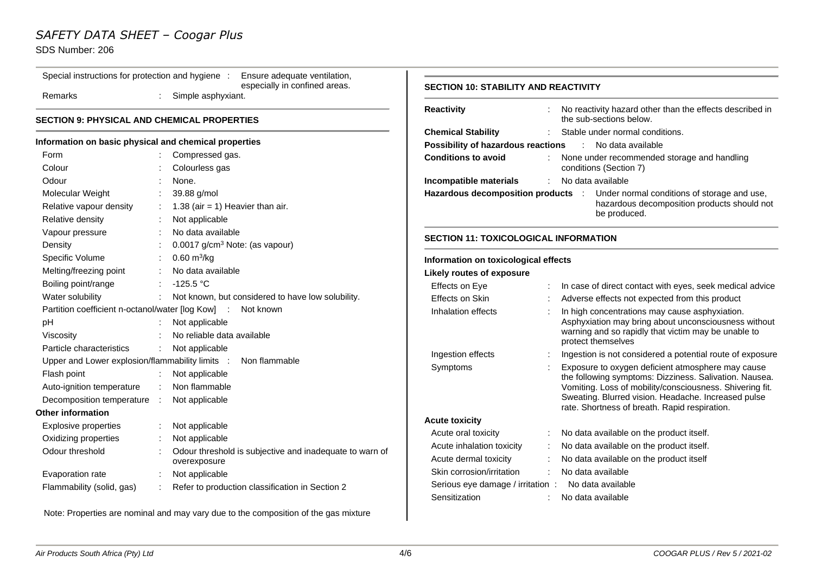## *SAFETY DATA SHEET – Coogar Plus*

SDS Number: 206

Special instructions for protection and hygiene : Ensure adequate ventilation,<br>especially in confined areas. Remarks : Simple asphyxiant.

#### **SECTION 9: PHYSICAL AND CHEMICAL PROPERTIES**

#### **Information on basic physical and chemical properties**

| Form                                              |                           | Compressed gas.                                                         |
|---------------------------------------------------|---------------------------|-------------------------------------------------------------------------|
| Colour                                            |                           | Colourless gas                                                          |
| Odour                                             |                           | None.                                                                   |
| Molecular Weight                                  |                           | 39.88 g/mol                                                             |
| Relative vapour density                           |                           | 1.38 (air = 1) Heavier than air.                                        |
| Relative density                                  |                           | Not applicable                                                          |
| Vapour pressure                                   |                           | No data available                                                       |
| Density                                           |                           | 0.0017 g/cm <sup>3</sup> Note: (as vapour)                              |
| Specific Volume                                   | ÷.                        | $0.60 \text{ m}^3/\text{kg}$                                            |
| Melting/freezing point                            | t.                        | No data available                                                       |
| Boiling point/range                               |                           | : $-125.5\textdegree C$                                                 |
| Water solubility                                  | $\mathbb{R}^{\mathbb{Z}}$ | Not known, but considered to have low solubility.                       |
| Partition coefficient n-octanol/water [log Kow] : |                           | Not known                                                               |
| рH                                                |                           | Not applicable                                                          |
| Viscosity                                         |                           | No reliable data available                                              |
| Particle characteristics                          | ÷                         | Not applicable                                                          |
|                                                   |                           | Upper and Lower explosion/flammability limits : Non flammable           |
| Flash point                                       |                           | Not applicable                                                          |
| Auto-ignition temperature                         |                           | : Non flammable                                                         |
| Decomposition temperature                         |                           | $:$ Not applicable                                                      |
| <b>Other information</b>                          |                           |                                                                         |
| Explosive properties                              | t                         | Not applicable                                                          |
| Oxidizing properties                              |                           | Not applicable                                                          |
| Odour threshold                                   |                           | Odour threshold is subjective and inadequate to warn of<br>overexposure |
| Evaporation rate                                  | ÷                         | Not applicable                                                          |
| Flammability (solid, gas)                         | t                         | Refer to production classification in Section 2                         |
|                                                   |                           |                                                                         |

#### Note: Properties are nominal and may vary due to the composition of the gas mixture

#### **SECTION 10: STABILITY AND REACTIVITY**

| <b>Reactivity</b>                            | ÷ | No reactivity hazard other than the effects described in<br>the sub-sections below.                                                                                                                                                                                             |
|----------------------------------------------|---|---------------------------------------------------------------------------------------------------------------------------------------------------------------------------------------------------------------------------------------------------------------------------------|
| <b>Chemical Stability</b>                    | ÷ | Stable under normal conditions.                                                                                                                                                                                                                                                 |
| <b>Possibility of hazardous reactions</b>    |   | No data available<br>$\cdot$                                                                                                                                                                                                                                                    |
| <b>Conditions to avoid</b>                   |   | None under recommended storage and handling<br>conditions (Section 7)                                                                                                                                                                                                           |
| Incompatible materials                       | ÷ | No data available                                                                                                                                                                                                                                                               |
| Hazardous decomposition products :           |   | Under normal conditions of storage and use,<br>hazardous decomposition products should not<br>be produced.                                                                                                                                                                      |
| <b>SECTION 11: TOXICOLOGICAL INFORMATION</b> |   |                                                                                                                                                                                                                                                                                 |
| Information on toxicological effects         |   |                                                                                                                                                                                                                                                                                 |
| <b>Likely routes of exposure</b>             |   |                                                                                                                                                                                                                                                                                 |
| Effects on Eye                               | ÷ | In case of direct contact with eyes, seek medical advice                                                                                                                                                                                                                        |
| Effects on Skin                              |   | Adverse effects not expected from this product                                                                                                                                                                                                                                  |
| Inhalation effects                           |   | In high concentrations may cause asphyxiation.<br>Asphyxiation may bring about unconsciousness without<br>warning and so rapidly that victim may be unable to<br>protect themselves                                                                                             |
| Ingestion effects                            |   | Ingestion is not considered a potential route of exposure                                                                                                                                                                                                                       |
| Symptoms                                     |   | Exposure to oxygen deficient atmosphere may cause<br>the following symptoms: Dizziness. Salivation. Nausea.<br>Vomiting. Loss of mobility/consciousness. Shivering fit.<br>Sweating. Blurred vision. Headache. Increased pulse<br>rate. Shortness of breath. Rapid respiration. |
| <b>Acute toxicity</b>                        |   |                                                                                                                                                                                                                                                                                 |
| Acute oral toxicity                          |   | No data available on the product itself.                                                                                                                                                                                                                                        |
| Acute inhalation toxicity                    |   | No data available on the product itself.                                                                                                                                                                                                                                        |
| Acute dermal toxicity                        |   | No data available on the product itself                                                                                                                                                                                                                                         |
| Skin corrosion/irritation                    |   | No data available                                                                                                                                                                                                                                                               |
| Serious eye damage / irritation :            |   | No data available                                                                                                                                                                                                                                                               |
| Sensitization                                |   | No data available                                                                                                                                                                                                                                                               |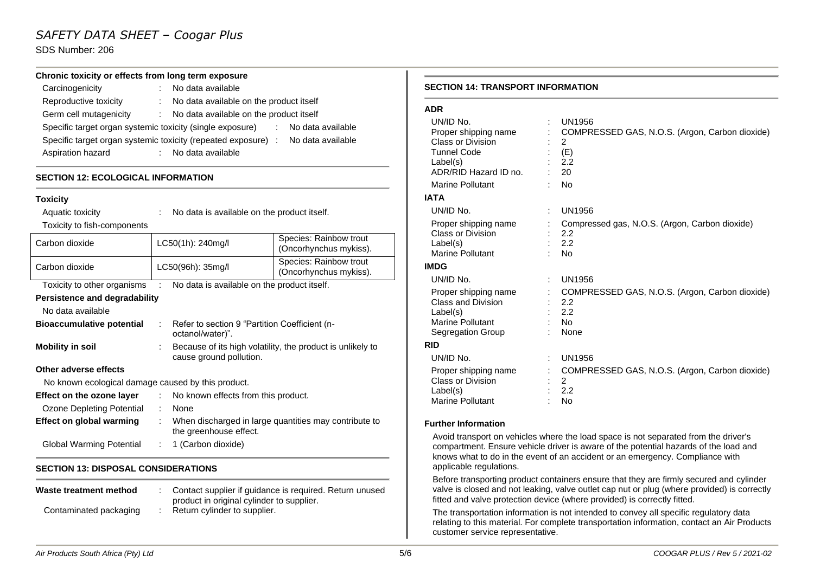## *SAFETY DATA SHEET – Coogar Plus*

SDS Number: 206

#### **Chronic toxicity or effects from long term exposure**

| Carcinogenicity                                           | No data available                                                               |  |
|-----------------------------------------------------------|---------------------------------------------------------------------------------|--|
| Reproductive toxicity                                     | No data available on the product itself<br>$\mathbb{R}^n$                       |  |
| Germ cell mutagenicity                                    | No data available on the product itself<br>÷.                                   |  |
| Specific target organ systemic toxicity (single exposure) | No data available<br>÷.                                                         |  |
|                                                           | Specific target organ systemic toxicity (repeated exposure) : No data available |  |
| Aspiration hazard                                         | No data available                                                               |  |

: No data is available on the product itself.

#### **SECTION 12: ECOLOGICAL INFORMATION**

#### **Toxicity**

| Aquatic toxicity |  |
|------------------|--|
|------------------|--|

Toxicity to fish-components

| <b>SECTION 13: DISPOSAL CONSIDERATIONS</b>         |                                                                                       |                                                                                 |                                                  |  |  |
|----------------------------------------------------|---------------------------------------------------------------------------------------|---------------------------------------------------------------------------------|--------------------------------------------------|--|--|
| Global Warming Potential                           | $\mathbb{Z}^{\mathbb{Z}}$                                                             | 1 (Carbon dioxide)                                                              |                                                  |  |  |
| Effect on global warming                           |                                                                                       | When discharged in large quantities may contribute to<br>the greenhouse effect. |                                                  |  |  |
| Ozone Depleting Potential                          |                                                                                       | None<br>÷.                                                                      |                                                  |  |  |
| Effect on the ozone layer                          | No known effects from this product.<br>$\mathcal{L}^{\mathcal{L}}$                    |                                                                                 |                                                  |  |  |
| No known ecological damage caused by this product. |                                                                                       |                                                                                 |                                                  |  |  |
| Other adverse effects                              |                                                                                       |                                                                                 |                                                  |  |  |
| <b>Mobility in soil</b>                            | Because of its high volatility, the product is unlikely to<br>cause ground pollution. |                                                                                 |                                                  |  |  |
| <b>Bioaccumulative potential</b>                   | Refer to section 9 "Partition Coefficient (n-<br>÷<br>octanol/water)".                |                                                                                 |                                                  |  |  |
| No data available                                  |                                                                                       |                                                                                 |                                                  |  |  |
| Persistence and degradability                      |                                                                                       |                                                                                 |                                                  |  |  |
| Toxicity to other organisms                        | No data is available on the product itself.<br>$\mathcal{L}$                          |                                                                                 |                                                  |  |  |
| Carbon dioxide                                     | LC50(96h): 35mg/l                                                                     |                                                                                 | Species: Rainbow trout<br>(Oncorhynchus mykiss). |  |  |
| Carbon dioxide                                     | LC50(1h): 240mg/l                                                                     |                                                                                 | Species: Rainbow trout<br>(Oncorhynchus mykiss). |  |  |

| Waste treatment method | Contact supplier if guidance is required. Return unused |
|------------------------|---------------------------------------------------------|
|                        | product in original cylinder to supplier.               |
| Contaminated packaging | Return cylinder to supplier.                            |

#### **SECTION 14: TRANSPORT INFORMATION**

#### **ADR**

| UN/ID No.<br>Proper shipping name<br>Class or Division<br><b>Tunnel Code</b><br>Label(s)<br>ADR/RID Hazard ID no. |   | UN1956<br>COMPRESSED GAS, N.O.S. (Argon, Carbon dioxide)<br>2<br>(E)<br>2.2<br>20 |
|-------------------------------------------------------------------------------------------------------------------|---|-----------------------------------------------------------------------------------|
| Marine Pollutant                                                                                                  |   | <b>No</b>                                                                         |
| <b>IATA</b>                                                                                                       |   |                                                                                   |
| UN/ID No.                                                                                                         |   | UN1956                                                                            |
| Proper shipping name<br>Class or Division<br>Label(s)<br>Marine Pollutant                                         |   | Compressed gas, N.O.S. (Argon, Carbon dioxide)<br>2.2<br>2.2<br><b>No</b>         |
| <b>IMDG</b>                                                                                                       |   |                                                                                   |
| UN/ID No.                                                                                                         | ÷ | UN1956                                                                            |
| Proper shipping name<br>Class and Division<br>Label(s)<br>Marine Pollutant<br>Segregation Group                   |   | COMPRESSED GAS, N.O.S. (Argon, Carbon dioxide)<br>2.2<br>2.2<br>No<br>None        |
| <b>RID</b>                                                                                                        |   |                                                                                   |
| UN/ID No.                                                                                                         | ÷ | UN1956                                                                            |
| Proper shipping name<br>Class or Division<br>Label(s)<br>Marine Pollutant                                         |   | COMPRESSED GAS, N.O.S. (Argon, Carbon dioxide)<br>2<br>2.2<br>No                  |

#### **Further Information**

Avoid transport on vehicles where the load space is not separated from the driver's compartment. Ensure vehicle driver is aware of the potential hazards of the load and knows what to do in the event of an accident or an emergency. Compliance with applicable regulations.

Before transporting product containers ensure that they are firmly secured and cylinder valve is closed and not leaking, valve outlet cap nut or plug (where provided) is correctly fitted and valve protection device (where provided) is correctly fitted.

The transportation information is not intended to convey all specific regulatory data relating to this material. For complete transportation information, contact an Air Products customer service representative.